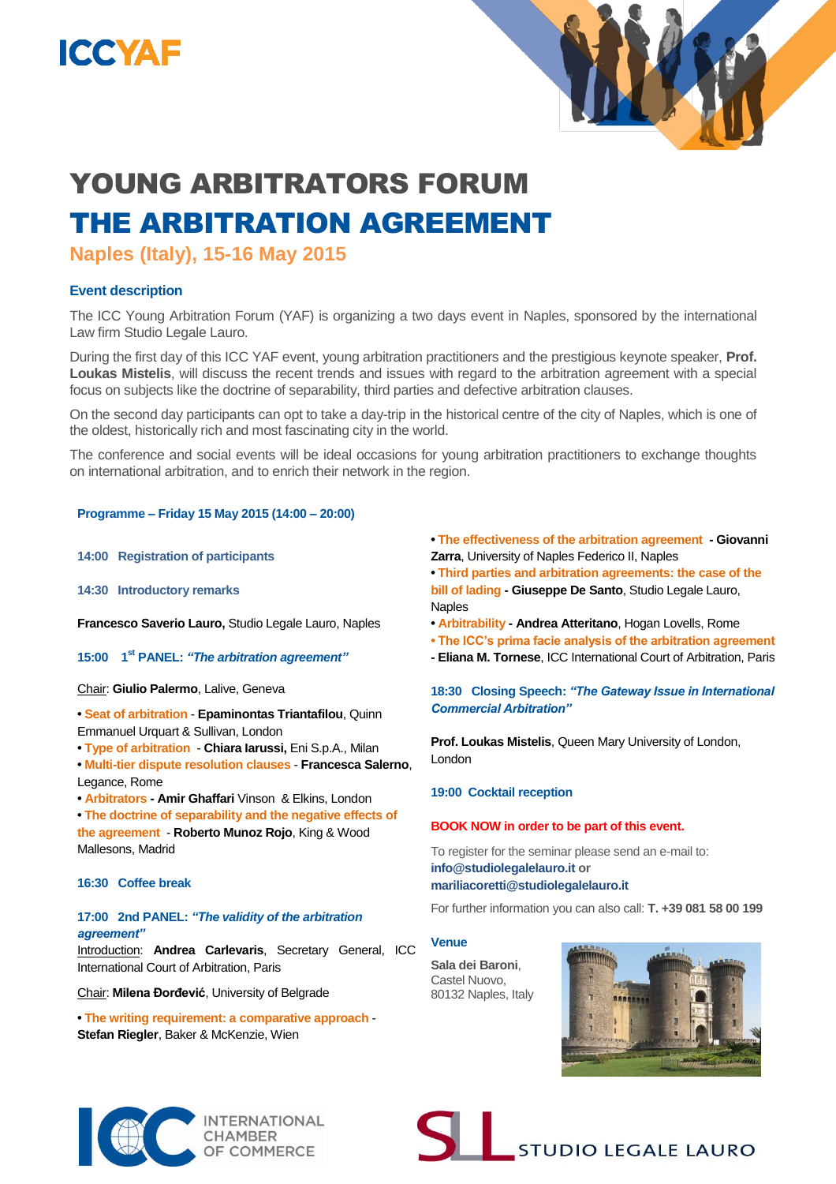

# YOUNG ARBITRATORS FORUM

## THE ARBITRATION AGREEMENT

**Naples (Italy), 15-16 May 2015**

#### **Event description**

The ICC Young Arbitration Forum (YAF) is organizing a two days event in Naples, sponsored by the international Law firm Studio Legale Lauro.

During the first day of this ICC YAF event, young arbitration practitioners and the prestigious keynote speaker, **Prof. Loukas Mistelis**, will discuss the recent trends and issues with regard to the arbitration agreement with a special focus on subjects like the doctrine of separability, third parties and defective arbitration clauses.

On the second day participants can opt to take a day-trip in the historical centre of the city of Naples, which is one of the oldest, historically rich and most fascinating city in the world.

The conference and social events will be ideal occasions for young arbitration practitioners to exchange thoughts on international arbitration, and to enrich their network in the region.

#### **Programme – Friday 15 May 2015 (14:00 – 20:00)**

#### **14:00 Registration of participants**

**14:30 Introductory remarks**

**Francesco Saverio Lauro,** Studio Legale Lauro, Naples

**15:00 1 st PANEL:** *"The arbitration agreement"*

Chair: **Giulio Palermo**, Lalive, Geneva

**• Seat of arbitration** - **Epaminontas Triantafilou**, Quinn Emmanuel Urquart & Sullivan, London

- **Type of arbitration Chiara Iarussi,** Eni S.p.A., Milan
- **Multi-tier dispute resolution clauses Francesca Salerno**, Legance, Rome
- **• Arbitrators - Amir Ghaffari** Vinson & Elkins, London

**• The doctrine of separability and the negative effects of the agreement** - **Roberto Munoz Rojo**, King & Wood Mallesons, Madrid

#### **16:30 Coffee break**

**17:00 2nd PANEL:** *"The validity of the arbitration agreement"*

Introduction: **Andrea Carlevaris**, Secretary General, ICC International Court of Arbitration, Paris

Chair: **Milena Đorđević**, University of Belgrade

**• The writing requirement: a comparative approach** - **Stefan Riegler**, Baker & McKenzie, Wien

**• The effectiveness of the arbitration agreement - Giovanni Zarra**, University of Naples Federico II, Naples

**• Third parties and arbitration agreements: the case of the bill of lading - Giuseppe De Santo**, Studio Legale Lauro, Naples

- **Arbitrability - Andrea Atteritano**, Hogan Lovells, Rome
- **The ICC's prima facie analysis of the arbitration agreement**
- **- Eliana M. Tornese**, ICC International Court of Arbitration, Paris

**18:30 Closing Speech:** *"The Gateway Issue in International Commercial Arbitration"*

**Prof. Loukas Mistelis**, Queen Mary University of London, London

**19:00 Cocktail reception**

#### **BOOK NOW in order to be part of this event.**

To register for the seminar please send an e-mail to: **info@studiolegalelauro.it or [mariliacoretti@studiolegalelauro.it](mailto:mariliacoretti@studiolegalelauro.it)**

For further information you can also call: **T. +39 081 58 00 199**

#### **Venue**

**Sala dei Baroni**, Castel Nuovo, 80132 Naples, Italy